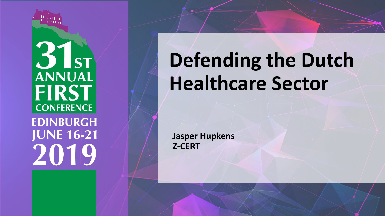

 $31<sub>st</sub>$ ANNUAL **FIRST CONFERENCE EDINBURGH JUNE 16-21** 2019

# **Defending the Dutch Healthcare Sector**

**Jasper Hupkens Z-CERT**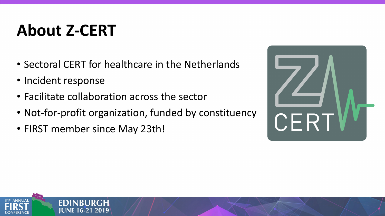### **About Z-CERT**

- Sectoral CERT for healthcare in the Netherlands
- Incident response
- Facilitate collaboration across the sector
- Not-for-profit organization, funded by constituency
- FIRST member since May 23th!



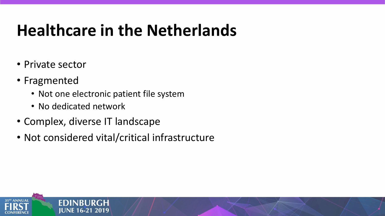### **Healthcare in the Netherlands**

- Private sector
- Fragmented

 $31<sup>5T</sup>$  ANNUAI

- Not one electronic patient file system
- No dedicated network

**FDINRL** 

**JUNE 16-21 2019** 

- Complex, diverse IT landscape
- Not considered vital/critical infrastructure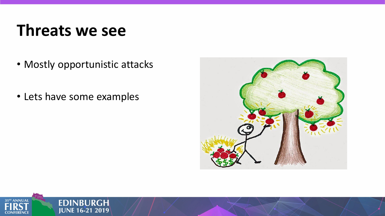### **Threats we see**

- Mostly opportunistic attacks
- Lets have some examples



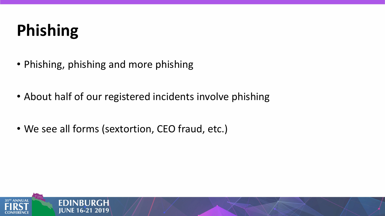## **Phishing**

- Phishing, phishing and more phishing
- About half of our registered incidents involve phishing
- We see all forms (sextortion, CEO fraud, etc.)

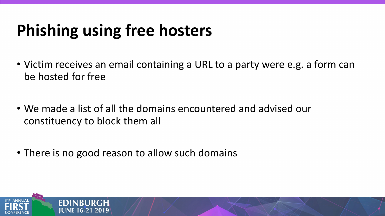### **Phishing using free hosters**

- Victim receives an email containing a URL to a party were e.g. a form can be hosted for free
- We made a list of all the domains encountered and advised our constituency to block them all
- There is no good reason to allow such domains

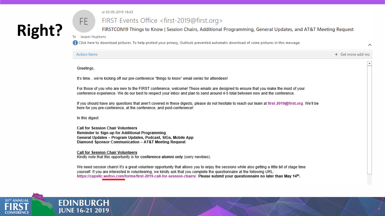### **Right?**

#### vr 03-05-2019 18:43

### FIRST Events Office <first-2019@first.org>

FIRSTCON19 Things to Know | Session Chairs, Additional Programming, General Updates, and AT&T Meeting Request

 $\boldsymbol{\wedge}$ 

Jasper Hupkens To

FE.

**EDINBURGH JUNE 16-21 2019** 

• Click here to download pictures. To help protect your privacy, Outlook prevented automatic download of some pictures in this message.

| <b>Action Items</b>                                                                                                                                                                                                                                                                                                                                                                                         | + Get more add-ins |
|-------------------------------------------------------------------------------------------------------------------------------------------------------------------------------------------------------------------------------------------------------------------------------------------------------------------------------------------------------------------------------------------------------------|--------------------|
| Greetings,                                                                                                                                                                                                                                                                                                                                                                                                  |                    |
| It's timewe're kicking off our pre-conference "things to know" email series for attendees!                                                                                                                                                                                                                                                                                                                  |                    |
| For those of you who are new to the FIRST conference, welcome! These emails are designed to ensure that you make the most of your<br>conference experience. We do our best to respect your inbox and plan to send around 4-5 total between now and the conference.                                                                                                                                          |                    |
| If you should have any questions that aren't covered in these digests, please do not hesitate to reach our team at first-2019@first.org. We'll be<br>here for you pre-conference, at the conference, and post-conference!                                                                                                                                                                                   |                    |
| In this digest:                                                                                                                                                                                                                                                                                                                                                                                             |                    |
| <b>Call for Session Chair Volunteers</b><br>Reminder to Sign-up for Additional Programming<br>General Updates - Program Updates, Podcast, SIGs, Mobile App<br>Diamond Sponsor Communication - AT&T Meeting Request                                                                                                                                                                                          |                    |
| <b>Call for Session Chair Volunteers</b><br>Kindly note that this opportunity is for conference alumni only (sorry newbies).                                                                                                                                                                                                                                                                                |                    |
| We need session chairs! It's a great volunteer opportunity that allows you to enjoy the sessions while also getting a little bit of stage time<br>yourself. If you are interested in volunteering, we kindly ask that you complete the questionnaire at the following URL:<br>https://capslic.wufoo.com/forms/first-2019-call-for-session-chairs/. Please submit your questionnaire no later than May 14th. |                    |

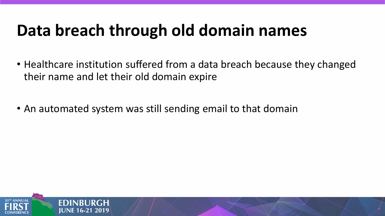### **Data breach through old domain names**

- Healthcare institution suffered from a data breach because they changed their name and let their old domain expire
- An automated system was still sending email to that domain

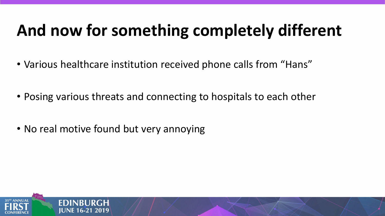### **And now for something completely different**

- Various healthcare institution received phone calls from "Hans"
- Posing various threats and connecting to hospitals to each other
- No real motive found but very annoying

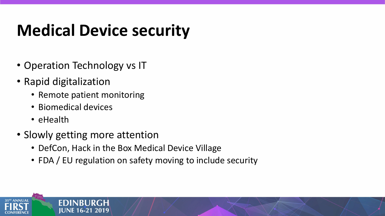### **Medical Device security**

- Operation Technology vs IT
- Rapid digitalization
	- Remote patient monitoring
	- Biomedical devices
	- eHealth
- Slowly getting more attention
	- DefCon, Hack in the Box Medical Device Village
	- FDA / EU regulation on safety moving to include security

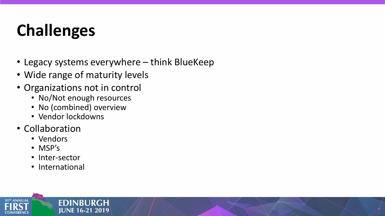## **Challenges**

- Legacy systems everywhere think BlueKeep
- Wide range of maturity levels
- Organizations not in control
	- No/Not enough resources

**EDINBURGH JUNE 16-21 2019** 

- No (combined) overview
- Vendor lockdowns
- Collaboration
	- Vendors
	- MSP's
	- Inter-sector
	- International

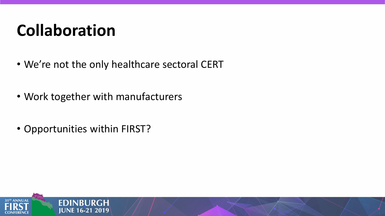### **Collaboration**

- We're not the only healthcare sectoral CERT
- Work together with manufacturers
- Opportunities within FIRST?

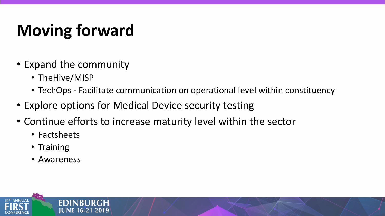## **Moving forward**

- Expand the community
	- TheHive/MISP
	- TechOps Facilitate communication on operational level within constituency
- Explore options for Medical Device security testing
- Continue efforts to increase maturity level within the sector
	- Factsheets
	- Training
	- Awareness